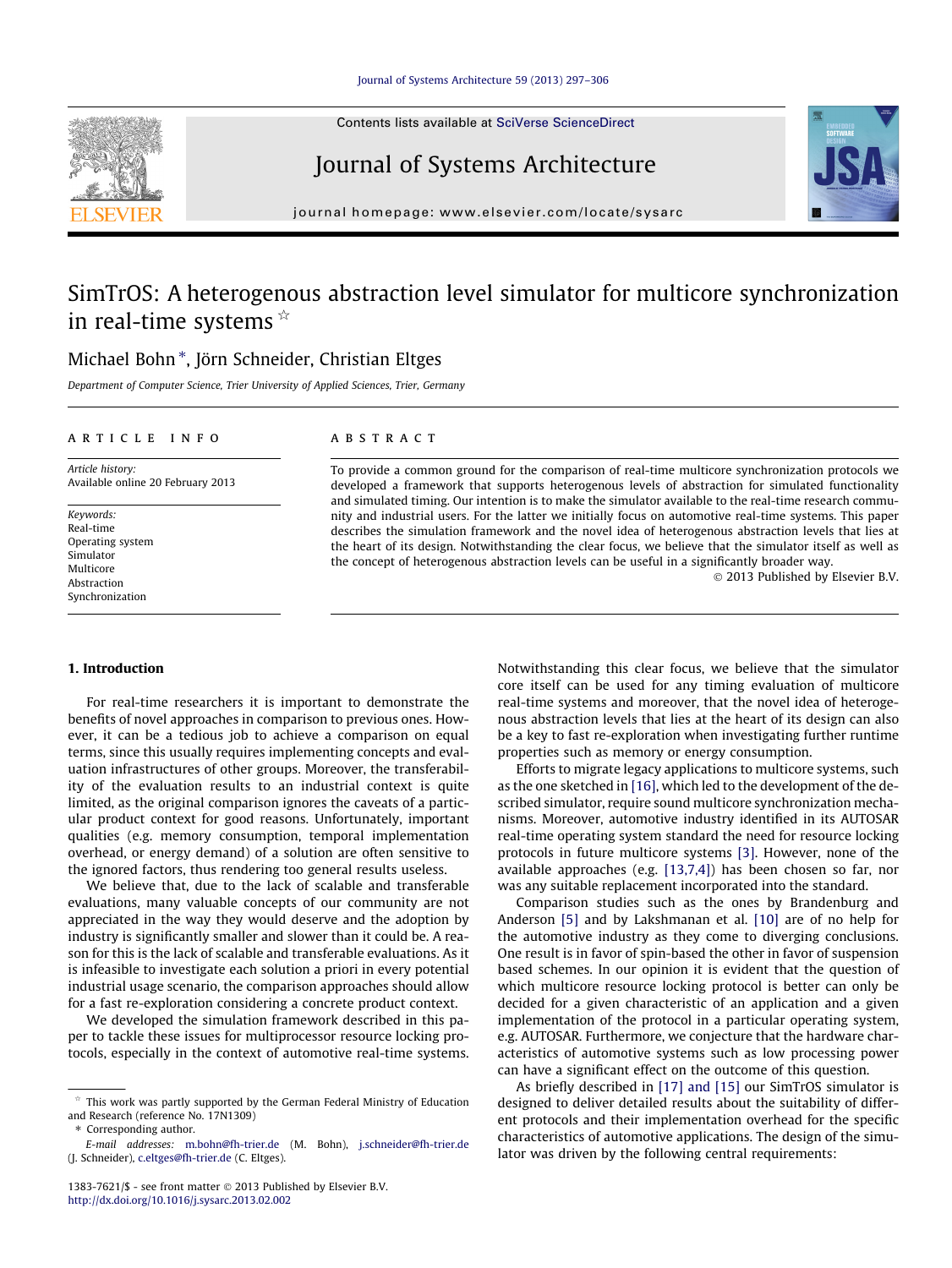Contents lists available at [SciVerse ScienceDirect](http://www.sciencedirect.com/science/journal/13837621)

## Journal of Systems Architecture

journal homepage: [www.elsevier.com/locate/sysarc](http://www.elsevier.com/locate/sysarc)

## SimTrOS: A heterogenous abstraction level simulator for multicore synchronization in real-time systems  $\dot{x}$

### Michael Bohn<sup>\*</sup>, Jörn Schneider, Christian Eltges

Department of Computer Science, Trier University of Applied Sciences, Trier, Germany

#### article info

Article history: Available online 20 February 2013

Keywords: Real-time Operating system Simulator Multicore Abstraction Synchronization

#### 1. Introduction

For real-time researchers it is important to demonstrate the benefits of novel approaches in comparison to previous ones. However, it can be a tedious job to achieve a comparison on equal terms, since this usually requires implementing concepts and evaluation infrastructures of other groups. Moreover, the transferability of the evaluation results to an industrial context is quite limited, as the original comparison ignores the caveats of a particular product context for good reasons. Unfortunately, important qualities (e.g. memory consumption, temporal implementation overhead, or energy demand) of a solution are often sensitive to the ignored factors, thus rendering too general results useless.

We believe that, due to the lack of scalable and transferable evaluations, many valuable concepts of our community are not appreciated in the way they would deserve and the adoption by industry is significantly smaller and slower than it could be. A reason for this is the lack of scalable and transferable evaluations. As it is infeasible to investigate each solution a priori in every potential industrial usage scenario, the comparison approaches should allow for a fast re-exploration considering a concrete product context.

We developed the simulation framework described in this paper to tackle these issues for multiprocessor resource locking protocols, especially in the context of automotive real-time systems.

#### ABSTRACT

To provide a common ground for the comparison of real-time multicore synchronization protocols we developed a framework that supports heterogenous levels of abstraction for simulated functionality and simulated timing. Our intention is to make the simulator available to the real-time research community and industrial users. For the latter we initially focus on automotive real-time systems. This paper describes the simulation framework and the novel idea of heterogenous abstraction levels that lies at the heart of its design. Notwithstanding the clear focus, we believe that the simulator itself as well as the concept of heterogenous abstraction levels can be useful in a significantly broader way.

© 2013 Published by Elsevier B.V.

Notwithstanding this clear focus, we believe that the simulator core itself can be used for any timing evaluation of multicore real-time systems and moreover, that the novel idea of heterogenous abstraction levels that lies at the heart of its design can also be a key to fast re-exploration when investigating further runtime properties such as memory or energy consumption.

Efforts to migrate legacy applications to multicore systems, such as the one sketched in [\[16\],](#page--1-0) which led to the development of the described simulator, require sound multicore synchronization mechanisms. Moreover, automotive industry identified in its AUTOSAR real-time operating system standard the need for resource locking protocols in future multicore systems [\[3\]](#page--1-0). However, none of the available approaches (e.g. [\[13,7,4\]\)](#page--1-0) has been chosen so far, nor was any suitable replacement incorporated into the standard.

Comparison studies such as the ones by Brandenburg and Anderson [\[5\]](#page--1-0) and by Lakshmanan et al. [\[10\]](#page--1-0) are of no help for the automotive industry as they come to diverging conclusions. One result is in favor of spin-based the other in favor of suspension based schemes. In our opinion it is evident that the question of which multicore resource locking protocol is better can only be decided for a given characteristic of an application and a given implementation of the protocol in a particular operating system, e.g. AUTOSAR. Furthermore, we conjecture that the hardware characteristics of automotive systems such as low processing power can have a significant effect on the outcome of this question.

As briefly described in [\[17\] and \[15\]](#page--1-0) our SimTrOS simulator is designed to deliver detailed results about the suitability of different protocols and their implementation overhead for the specific characteristics of automotive applications. The design of the simulator was driven by the following central requirements:





 $*$  This work was partly supported by the German Federal Ministry of Education and Research (reference No. 17N1309)

<sup>⇑</sup> Corresponding author.

E-mail addresses: [m.bohn@fh-trier.de](mailto:m.bohn@fh-trier.de) (M. Bohn), [j.schneider@fh-trier.de](mailto:j.schneider@fh-trier.de              ) (J. Schneider), [c.eltges@fh-trier.de](mailto:c.eltges@fh-trier.de) (C. Eltges).

<sup>1383-7621/\$ -</sup> see front matter @ 2013 Published by Elsevier B.V. <http://dx.doi.org/10.1016/j.sysarc.2013.02.002>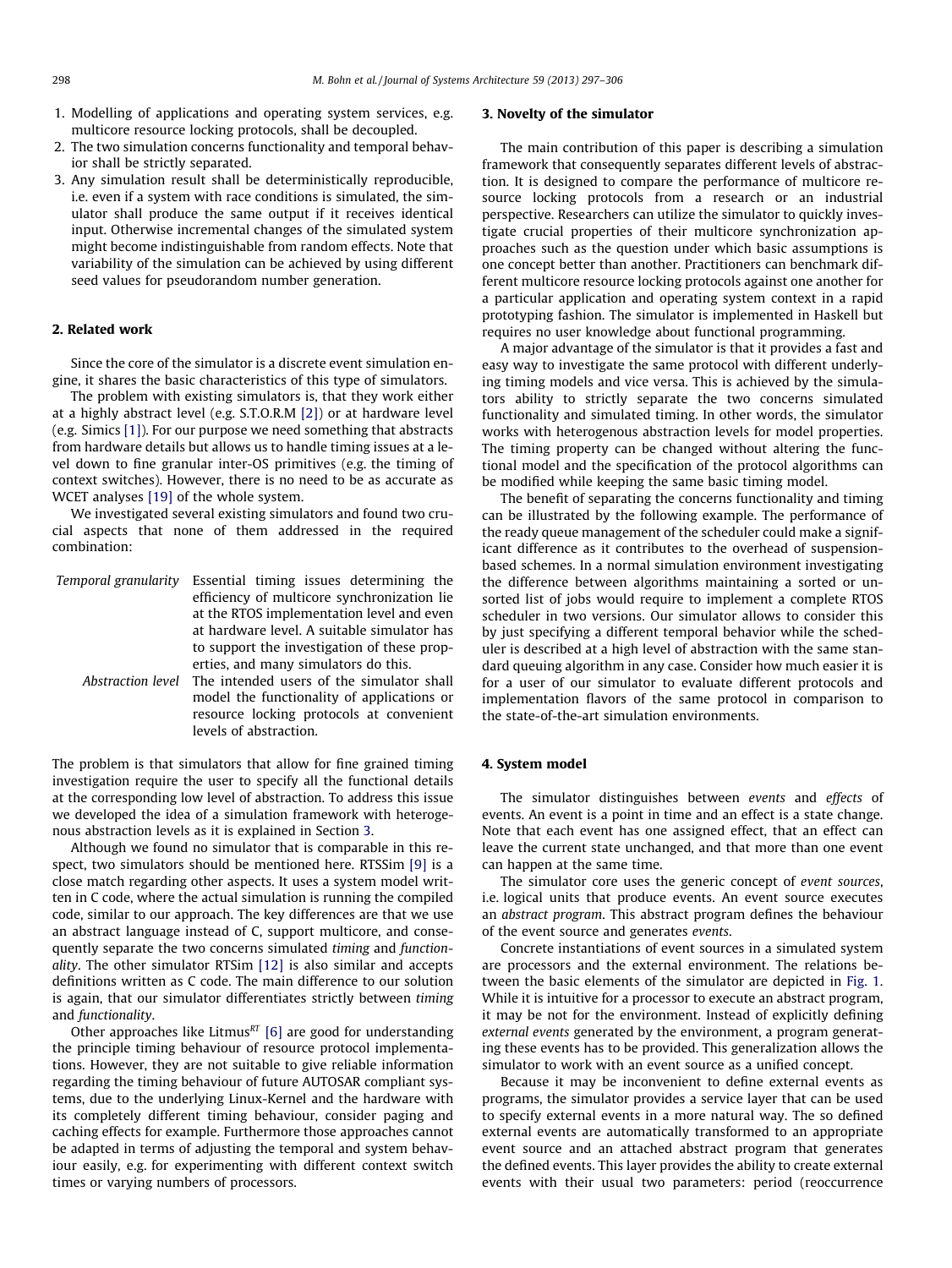- 1. Modelling of applications and operating system services, e.g. multicore resource locking protocols, shall be decoupled.
- 2. The two simulation concerns functionality and temporal behavior shall be strictly separated.
- 3. Any simulation result shall be deterministically reproducible, i.e. even if a system with race conditions is simulated, the simulator shall produce the same output if it receives identical input. Otherwise incremental changes of the simulated system might become indistinguishable from random effects. Note that variability of the simulation can be achieved by using different seed values for pseudorandom number generation.

#### 2. Related work

Since the core of the simulator is a discrete event simulation engine, it shares the basic characteristics of this type of simulators.

The problem with existing simulators is, that they work either at a highly abstract level (e.g. S.T.O.R.M [\[2\]](#page--1-0)) or at hardware level (e.g. Simics [\[1\]](#page--1-0)). For our purpose we need something that abstracts from hardware details but allows us to handle timing issues at a level down to fine granular inter-OS primitives (e.g. the timing of context switches). However, there is no need to be as accurate as WCET analyses [\[19\]](#page--1-0) of the whole system.

We investigated several existing simulators and found two crucial aspects that none of them addressed in the required combination:

| Temporal granularity | Essential timing issues determining the                     |
|----------------------|-------------------------------------------------------------|
|                      | efficiency of multicore synchronization lie                 |
|                      | at the RTOS implementation level and even                   |
|                      | at hardware level. A suitable simulator has                 |
|                      | to support the investigation of these prop-                 |
|                      | erties, and many simulators do this.                        |
|                      | Abstraction level The intended users of the simulator shall |
|                      | model the functionality of applications or                  |
|                      | resource locking protocols at convenient                    |
|                      | levels of abstraction.                                      |

The problem is that simulators that allow for fine grained timing investigation require the user to specify all the functional details at the corresponding low level of abstraction. To address this issue we developed the idea of a simulation framework with heterogenous abstraction levels as it is explained in Section 3.

Although we found no simulator that is comparable in this respect, two simulators should be mentioned here. RTSSim [\[9\]](#page--1-0) is a close match regarding other aspects. It uses a system model written in C code, where the actual simulation is running the compiled code, similar to our approach. The key differences are that we use an abstract language instead of C, support multicore, and consequently separate the two concerns simulated timing and functionality. The other simulator RTSim [\[12\]](#page--1-0) is also similar and accepts definitions written as C code. The main difference to our solution is again, that our simulator differentiates strictly between timing and functionality.

Other approaches like Litmus<sup>RT</sup> [\[6\]](#page--1-0) are good for understanding the principle timing behaviour of resource protocol implementations. However, they are not suitable to give reliable information regarding the timing behaviour of future AUTOSAR compliant systems, due to the underlying Linux-Kernel and the hardware with its completely different timing behaviour, consider paging and caching effects for example. Furthermore those approaches cannot be adapted in terms of adjusting the temporal and system behaviour easily, e.g. for experimenting with different context switch times or varying numbers of processors.

#### 3. Novelty of the simulator

The main contribution of this paper is describing a simulation framework that consequently separates different levels of abstraction. It is designed to compare the performance of multicore resource locking protocols from a research or an industrial perspective. Researchers can utilize the simulator to quickly investigate crucial properties of their multicore synchronization approaches such as the question under which basic assumptions is one concept better than another. Practitioners can benchmark different multicore resource locking protocols against one another for a particular application and operating system context in a rapid prototyping fashion. The simulator is implemented in Haskell but requires no user knowledge about functional programming.

A major advantage of the simulator is that it provides a fast and easy way to investigate the same protocol with different underlying timing models and vice versa. This is achieved by the simulators ability to strictly separate the two concerns simulated functionality and simulated timing. In other words, the simulator works with heterogenous abstraction levels for model properties. The timing property can be changed without altering the functional model and the specification of the protocol algorithms can be modified while keeping the same basic timing model.

The benefit of separating the concerns functionality and timing can be illustrated by the following example. The performance of the ready queue management of the scheduler could make a significant difference as it contributes to the overhead of suspensionbased schemes. In a normal simulation environment investigating the difference between algorithms maintaining a sorted or unsorted list of jobs would require to implement a complete RTOS scheduler in two versions. Our simulator allows to consider this by just specifying a different temporal behavior while the scheduler is described at a high level of abstraction with the same standard queuing algorithm in any case. Consider how much easier it is for a user of our simulator to evaluate different protocols and implementation flavors of the same protocol in comparison to the state-of-the-art simulation environments.

#### 4. System model

The simulator distinguishes between events and effects of events. An event is a point in time and an effect is a state change. Note that each event has one assigned effect, that an effect can leave the current state unchanged, and that more than one event can happen at the same time.

The simulator core uses the generic concept of event sources, i.e. logical units that produce events. An event source executes an abstract program. This abstract program defines the behaviour of the event source and generates events.

Concrete instantiations of event sources in a simulated system are processors and the external environment. The relations between the basic elements of the simulator are depicted in [Fig. 1.](#page--1-0) While it is intuitive for a processor to execute an abstract program, it may be not for the environment. Instead of explicitly defining external events generated by the environment, a program generating these events has to be provided. This generalization allows the simulator to work with an event source as a unified concept.

Because it may be inconvenient to define external events as programs, the simulator provides a service layer that can be used to specify external events in a more natural way. The so defined external events are automatically transformed to an appropriate event source and an attached abstract program that generates the defined events. This layer provides the ability to create external events with their usual two parameters: period (reoccurrence